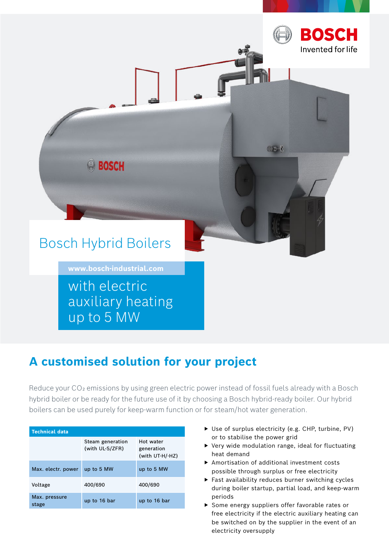

# **A customised solution for your project**

Reduce your CO<sub>2</sub> emissions by using green electric power instead of fossil fuels already with a Bosch hybrid boiler or be ready for the future use of it by choosing a Bosch hybrid-ready boiler. Our hybrid boilers can be used purely for keep-warm function or for steam/hot water generation.

| <b>Technical data</b>  |                                     |                                            |
|------------------------|-------------------------------------|--------------------------------------------|
|                        | Steam generation<br>(with UL-S/ZFR) | Hot water<br>generation<br>(with UT-H/-HZ) |
| Max. electr. power     | up to 5 MW                          | up to 5 MW                                 |
| Voltage                | 400/690                             | 400/690                                    |
| Max. pressure<br>stage | up to 16 bar                        | up to 16 bar                               |

- ▶ Use of surplus electricity (e.g. CHP, turbine, PV) or to stabilise the power grid
- ▶ Very wide modulation range, ideal for fluctuating heat demand
- ▶ Amortisation of additional investment costs possible through surplus or free electricity
- ▶ Fast availability reduces burner switching cycles during boiler startup, partial load, and keep-warm periods
- ▶ Some energy suppliers offer favorable rates or free electricity if the electric auxiliary heating can be switched on by the supplier in the event of an electricity oversupply